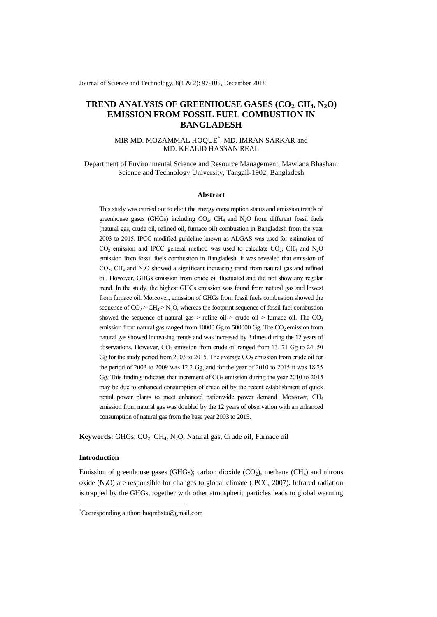Journal of Science and Technology, 8(1 & 2): 97-105, December 2018

# **TREND ANALYSIS OF GREENHOUSE GASES (CO2, CH4, N2O) EMISSION FROM FOSSIL FUEL COMBUSTION IN BANGLADESH**

### MIR MD. MOZAMMAL HOQUE\* , MD. IMRAN SARKAR and MD. KHALID HASSAN REAL

Department of Environmental Science and Resource Management, Mawlana Bhashani Science and Technology University, Tangail-1902, Bangladesh

#### **Abstract**

This study was carried out to elicit the energy consumption status and emission trends of greenhouse gases (GHGs) including  $CO_2$ ,  $CH_4$  and  $N_2O$  from different fossil fuels (natural gas, crude oil, refined oil, furnace oil) combustion in Bangladesh from the year 2003 to 2015. IPCC modified guideline known as ALGAS was used for estimation of  $CO<sub>2</sub>$  emission and IPCC general method was used to calculate  $CO<sub>2</sub>$ , CH<sub>4</sub> and N<sub>2</sub>O emission from fossil fuels combustion in Bangladesh. It was revealed that emission of  $CO<sub>2</sub>$ ,  $CH<sub>4</sub>$  and  $N<sub>2</sub>O$  showed a significant increasing trend from natural gas and refined oil. However, GHGs emission from crude oil fluctuated and did not show any regular trend. In the study, the highest GHGs emission was found from natural gas and lowest from furnace oil. Moreover, emission of GHGs from fossil fuels combustion showed the sequence of  $CO_2 > CH_4 > N_2O$ , whereas the footprint sequence of fossil fuel combustion showed the sequence of natural gas > refine oil > crude oil > furnace oil. The  $CO<sub>2</sub>$ emission from natural gas ranged from  $10000$  Gg to  $500000$  Gg. The  $CO<sub>2</sub>$  emission from natural gas showed increasing trends and was increased by 3 times during the 12 years of observations. However,  $CO_2$  emission from crude oil ranged from 13. 71 Gg to 24. 50 Gg for the study period from 2003 to 2015. The average  $CO_2$  emission from crude oil for the period of 2003 to 2009 was 12.2 Gg, and for the year of 2010 to 2015 it was 18.25 Gg. This finding indicates that increment of  $CO<sub>2</sub>$  emission during the year 2010 to 2015 may be due to enhanced consumption of crude oil by the recent establishment of quick rental power plants to meet enhanced nationwide power demand. Moreover, CH<sub>4</sub> emission from natural gas was doubled by the 12 years of observation with an enhanced consumption of natural gas from the base year 2003 to 2015.

**Keywords:** GHGs, CO<sub>2</sub>, CH<sub>4</sub>, N<sub>2</sub>O, Natural gas, Crude oil, Furnace oil

### **Introduction**

-

Emission of greenhouse gases (GHGs); carbon dioxide ( $CO<sub>2</sub>$ ), methane (CH<sub>4</sub>) and nitrous oxide  $(N_2O)$  are responsible for changes to global climate (IPCC, 2007). Infrared radiation is trapped by the GHGs, together with other atmospheric particles leads to global warming

<sup>\*</sup>Corresponding author[: huqmbstu@gmail.com](mailto:huqmbstu@gmail.com)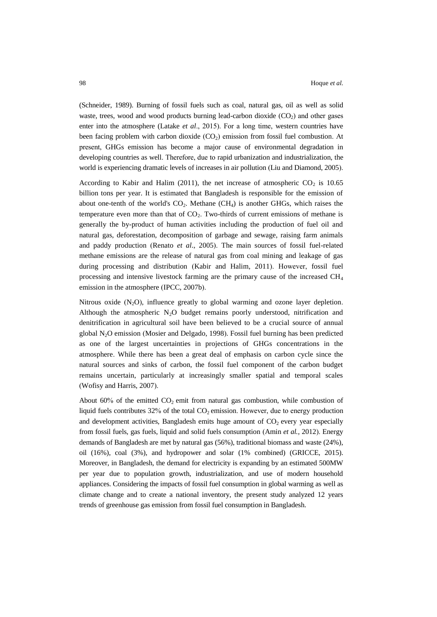(Schneider, 1989). Burning of fossil fuels such as coal, natural gas, oil as well as solid waste, trees, wood and wood products burning lead-carbon dioxide  $(CO<sub>2</sub>)$  and other gases enter into the atmosphere (Latake *et al*., 2015). For a long time, western countries have been facing problem with carbon dioxide  $(CO<sub>2</sub>)$  emission from fossil fuel combustion. At present, GHGs emission has become a major cause of environmental degradation in developing countries as well. Therefore, due to rapid urbanization and industrialization, the world is experiencing dramatic levels of increases in air pollution (Liu and Diamond, 2005).

According to Kabir and Halim (2011), the net increase of atmospheric  $CO_2$  is 10.65 billion tons per year. It is estimated that Bangladesh is responsible for the emission of about one-tenth of the world's  $CO<sub>2</sub>$ . Methane (CH<sub>4</sub>) is another GHGs, which raises the temperature even more than that of  $CO<sub>2</sub>$ . Two-thirds of current emissions of methane is generally the by-product of human activities including the production of fuel oil and natural gas, deforestation, decomposition of garbage and sewage, raising farm animals and paddy production (Renato *et al*., 2005). The main sources of fossil fuel-related methane emissions are the release of natural gas from coal mining and leakage of gas during processing and distribution (Kabir and Halim, 2011). However, fossil fuel processing and intensive livestock farming are the primary cause of the increased  $CH<sub>4</sub>$ emission in the atmosphere (IPCC, 2007b).

Nitrous oxide  $(N_2O)$ , influence greatly to global warming and ozone layer depletion. Although the atmospheric  $N<sub>2</sub>O$  budget remains poorly understood, nitrification and denitrification in agricultural soil have been believed to be a crucial source of annual global N2O emission (Mosier and Delgado, 1998). Fossil fuel burning has been predicted as one of the largest uncertainties in projections of GHGs concentrations in the atmosphere. While there has been a great deal of emphasis on carbon cycle since the natural sources and sinks of carbon, the fossil fuel component of the carbon budget remains uncertain, particularly at increasingly smaller spatial and temporal scales (Wofisy and Harris, 2007).

About 60% of the emitted  $CO<sub>2</sub>$  emit from natural gas combustion, while combustion of liquid fuels contributes  $32\%$  of the total  $CO<sub>2</sub>$  emission. However, due to energy production and development activities, Bangladesh emits huge amount of  $CO<sub>2</sub>$  every year especially from fossil fuels, gas fuels, liquid and solid fuels consumption (Amin *et al.,* 2012). Energy demands of Bangladesh are met by natural gas (56%), traditional biomass and waste (24%), oil (16%), coal (3%), and hydropower and solar (1% combined) (GRICCE, 2015). Moreover, in Bangladesh, the demand for electricity is expanding by an estimated 500MW per year due to population growth, industrialization, and use of modern household appliances. Considering the impacts of fossil fuel consumption in global warming as well as climate change and to create a national inventory, the present study analyzed 12 years trends of greenhouse gas emission from fossil fuel consumption in Bangladesh.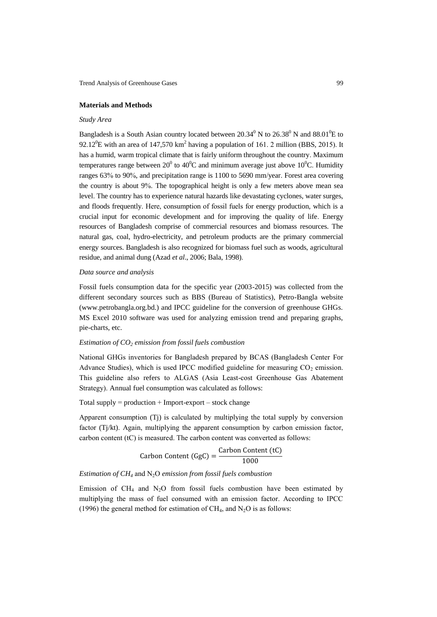#### **Materials and Methods**

### *Study Area*

Bangladesh is a South Asian country located between  $20.34^{\circ}$  N to  $26.38^{\circ}$  N and  $88.01^{\circ}$ E to 92.12<sup>0</sup>E with an area of 147,570 km<sup>2</sup> having a population of 161. 2 million (BBS, 2015). It has a humid, warm tropical climate that is fairly uniform throughout the country. Maximum temperatures range between 20<sup>0</sup> to 40<sup>0</sup>C and minimum average just above 10<sup>0</sup>C. Humidity ranges 63% to 90%, and precipitation range is 1100 to 5690 mm/year. Forest area covering the country is about 9%. The topographical height is only a few meters above mean sea level. The country has to experience natural hazards like devastating cyclones, water surges, and floods frequently. Here, consumption of fossil fuels for energy production, which is a crucial input for economic development and for improving the quality of life. Energy resources of Bangladesh comprise of commercial resources and biomass resources. The natural gas, coal, hydro-electricity, and petroleum products are the primary commercial energy sources. Bangladesh is also recognized for biomass fuel such as woods, agricultural residue, and animal dung (Azad *et al*., 2006; Bala, 1998).

### *Data source and analysis*

Fossil fuels consumption data for the specific year (2003-2015) was collected from the different secondary sources such as BBS (Bureau of Statistics), Petro-Bangla website (www.petrobangla.org.bd.) and IPCC guideline for the conversion of greenhouse GHGs. MS Excel 2010 software was used for analyzing emission trend and preparing graphs, pie-charts, etc.

### *Estimation of CO<sup>2</sup> emission from fossil fuels combustion*

National GHGs inventories for Bangladesh prepared by BCAS (Bangladesh Center For Advance Studies), which is used IPCC modified guideline for measuring  $CO<sub>2</sub>$  emission. This guideline also refers to ALGAS (Asia Least-cost Greenhouse Gas Abatement Strategy). Annual fuel consumption was calculated as follows:

Total supply  $=$  production  $+$  Import-export  $-$  stock change

Apparent consumption (Tj) is calculated by multiplying the total supply by conversion factor (Tj/kt). Again, multiplying the apparent consumption by carbon emission factor, carbon content (tC) is measured. The carbon content was converted as follows:

Carbon Content (GgC) = 
$$
\frac{\text{Carbon Content (tC)}}{1000}
$$

### *Estimation of CH<sup>4</sup>* and N2O *emission from fossil fuels combustion*

Emission of  $CH_4$  and  $N_2O$  from fossil fuels combustion have been estimated by multiplying the mass of fuel consumed with an emission factor. According to IPCC (1996) the general method for estimation of CH<sub>4</sub>, and N<sub>2</sub>O is as follows: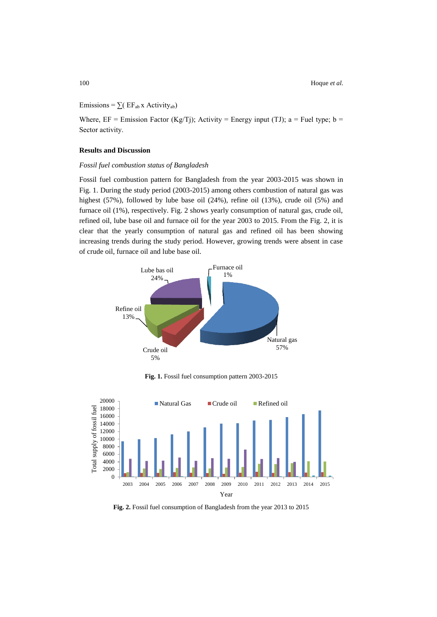## Emissions =  $\sum$ ( EF<sub>ab</sub> x Activity<sub>ab</sub>)

Where,  $EF =$  Emission Factor (Kg/Tj); Activity = Energy input (TJ); a = Fuel type; b = Sector activity.

### **Results and Discussion**

### *Fossil fuel combustion status of Bangladesh*

Fossil fuel combustion pattern for Bangladesh from the year 2003-2015 was shown in Fig. 1. During the study period (2003-2015) among others combustion of natural gas was highest (57%), followed by lube base oil (24%), refine oil (13%), crude oil (5%) and furnace oil (1%), respectively. Fig. 2 shows yearly consumption of natural gas, crude oil, refined oil, lube base oil and furnace oil for the year 2003 to 2015. From the Fig. 2, it is clear that the yearly consumption of natural gas and refined oil has been showing increasing trends during the study period. However, growing trends were absent in case of crude oil, furnace oil and lube base oil.



**Fig. 1.** Fossil fuel consumption pattern 2003-2015



Fig. 2. Fossil fuel consumption of Bangladesh from the year 2013 to 2015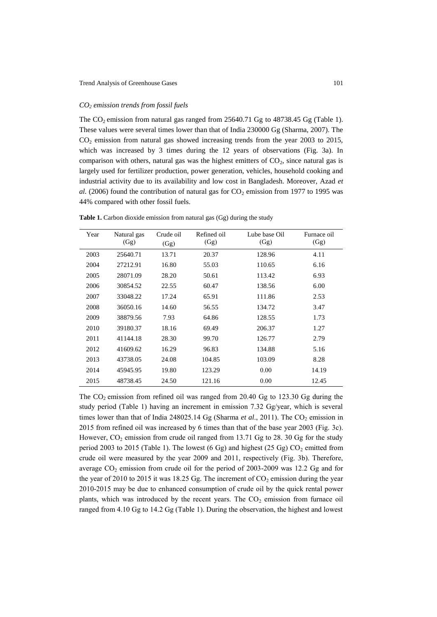### *CO<sup>2</sup> emission trends from fossil fuels*

The  $CO_2$  emission from natural gas ranged from 25640.71 Gg to 48738.45 Gg (Table 1). These values were several times lower than that of India 230000 Gg (Sharma, 2007). The  $CO<sub>2</sub>$  emission from natural gas showed increasing trends from the year 2003 to 2015, which was increased by 3 times during the 12 years of observations (Fig. 3a). In comparison with others, natural gas was the highest emitters of  $CO<sub>2</sub>$ , since natural gas is largely used for fertilizer production, power generation, vehicles, household cooking and industrial activity due to its availability and low cost in Bangladesh. Moreover, Azad *et al.* (2006) found the contribution of natural gas for  $CO<sub>2</sub>$  emission from 1977 to 1995 was 44% compared with other fossil fuels.

| Year | Natural gas<br>(Gg) | Crude oil<br>(Gg) | Refined oil<br>(Gg) | Lube base Oil<br>(Gg) | Furnace oil<br>(Gg) |
|------|---------------------|-------------------|---------------------|-----------------------|---------------------|
| 2003 | 25640.71            | 13.71             | 20.37               | 128.96                | 4.11                |
| 2004 | 27212.91            | 16.80             | 55.03               | 110.65                | 6.16                |
| 2005 | 28071.09            | 28.20             | 50.61               | 113.42                | 6.93                |
| 2006 | 30854.52            | 22.55             | 60.47               | 138.56                | 6.00                |
| 2007 | 33048.22            | 17.24             | 65.91               | 111.86                | 2.53                |
| 2008 | 36050.16            | 14.60             | 56.55               | 134.72                | 3.47                |
| 2009 | 38879.56            | 7.93              | 64.86               | 128.55                | 1.73                |
| 2010 | 39180.37            | 18.16             | 69.49               | 206.37                | 1.27                |
| 2011 | 41144.18            | 28.30             | 99.70               | 126.77                | 2.79                |
| 2012 | 41609.62            | 16.29             | 96.83               | 134.88                | 5.16                |
| 2013 | 43738.05            | 24.08             | 104.85              | 103.09                | 8.28                |
| 2014 | 45945.95            | 19.80             | 123.29              | 0.00                  | 14.19               |
| 2015 | 48738.45            | 24.50             | 121.16              | 0.00                  | 12.45               |

**Table 1.** Carbon dioxide emission from natural gas (Gg) during the study

The  $CO_2$  emission from refined oil was ranged from 20.40 Gg to 123.30 Gg during the study period (Table 1) having an increment in emission 7.32 Gg/year, which is several times lower than that of India 248025.14 Gg (Sharma *et al.*, 2011). The  $CO<sub>2</sub>$  emission in 2015 from refined oil was increased by 6 times than that of the base year 2003 (Fig. 3c). However,  $CO_2$  emission from crude oil ranged from 13.71 Gg to 28. 30 Gg for the study period 2003 to 2015 (Table 1). The lowest  $(6 \text{ Gg})$  and highest  $(25 \text{ Gg})$  CO<sub>2</sub> emitted from crude oil were measured by the year 2009 and 2011, respectively (Fig. 3b). Therefore, average  $CO_2$  emission from crude oil for the period of 2003-2009 was 12.2 Gg and for the year of 2010 to 2015 it was 18.25 Gg. The increment of  $CO_2$  emission during the year 2010-2015 may be due to enhanced consumption of crude oil by the quick rental power plants, which was introduced by the recent years. The  $CO<sub>2</sub>$  emission from furnace oil ranged from 4.10 Gg to 14.2 Gg (Table 1). During the observation, the highest and lowest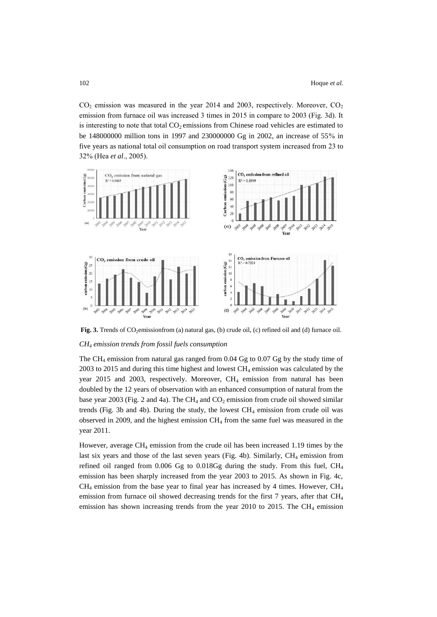$CO<sub>2</sub>$  emission was measured in the year 2014 and 2003, respectively. Moreover,  $CO<sub>2</sub>$ emission from furnace oil was increased 3 times in 2015 in compare to 2003 (Fig. 3d). It is interesting to note that total  $CO<sub>2</sub>$  emissions from Chinese road vehicles are estimated to be 148000000 million tons in 1997 and 230000000 Gg in 2002, an increase of 55% in five years as national total oil consumption on road transport system increased from 23 to 32% (Hea *et al*., 2005).



Fig. 3. Trends of CO<sub>2</sub>emissionfrom (a) natural gas, (b) crude oil, (c) refined oil and (d) furnace oil. *CH<sup>4</sup> emission trends from fossil fuels consumption*

The CH<sup>4</sup> emission from natural gas ranged from 0.04 Gg to 0.07 Gg by the study time of  $2003$  to  $2015$  and during this time highest and lowest CH<sub>4</sub> emission was calculated by the year 2015 and 2003, respectively. Moreover, CH<sub>4</sub> emission from natural has been doubled by the 12 years of observation with an enhanced consumption of natural from the base year 2003 (Fig. 2 and 4a). The CH<sub>4</sub> and CO<sub>2</sub> emission from crude oil showed similar trends (Fig. 3b and 4b). During the study, the lowest  $CH_4$  emission from crude oil was observed in 2009, and the highest emission CH<sup>4</sup> from the same fuel was measured in the year 2011.

However, average  $CH_4$  emission from the crude oil has been increased 1.19 times by the last six years and those of the last seven years (Fig. 4b). Similarly,  $CH_4$  emission from refined oil ranged from 0.006 Gg to 0.018Gg during the study. From this fuel, CH<sub>4</sub> emission has been sharply increased from the year 2003 to 2015. As shown in Fig. 4c,  $CH<sub>4</sub>$  emission from the base year to final year has increased by 4 times. However,  $CH<sub>4</sub>$ emission from furnace oil showed decreasing trends for the first 7 years, after that  $CH<sub>4</sub>$ emission has shown increasing trends from the year 2010 to 2015. The CH<sub>4</sub> emission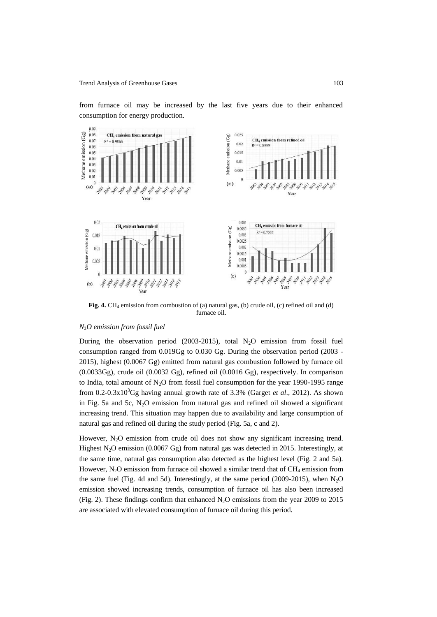from furnace oil may be increased by the last five years due to their enhanced consumption for energy production.



Fig. 4. CH<sub>4</sub> emission from combustion of (a) natural gas, (b) crude oil, (c) refined oil and (d) furnace oil.

#### *N*2*O emission from fossil fuel*

During the observation period  $(2003-2015)$ , total N<sub>2</sub>O emission from fossil fuel consumption ranged from 0.019Gg to 0.030 Gg. During the observation period (2003 - 2015), highest (0.0067 Gg) emitted from natural gas combustion followed by furnace oil (0.0033Gg), crude oil (0.0032 Gg), refined oil (0.0016 Gg), respectively. In comparison to India, total amount of  $N_2O$  from fossil fuel consumption for the year 1990-1995 range from 0.2-0.3x10<sup>3</sup>Gg having annual growth rate of 3.3% (Garget *et al*., 2012). As shown in Fig. 5a and 5c,  $N<sub>2</sub>O$  emission from natural gas and refined oil showed a significant increasing trend. This situation may happen due to availability and large consumption of natural gas and refined oil during the study period (Fig. 5a, c and 2).

However,  $N_2O$  emission from crude oil does not show any significant increasing trend. Highest N2O emission (0.0067 Gg) from natural gas was detected in 2015. Interestingly, at the same time, natural gas consumption also detected as the highest level (Fig. 2 and 5a). However,  $N_2O$  emission from furnace oil showed a similar trend that of  $CH_4$  emission from the same fuel (Fig. 4d and 5d). Interestingly, at the same period (2009-2015), when  $N<sub>2</sub>O$ emission showed increasing trends, consumption of furnace oil has also been increased (Fig. 2). These findings confirm that enhanced  $N_2O$  emissions from the year 2009 to 2015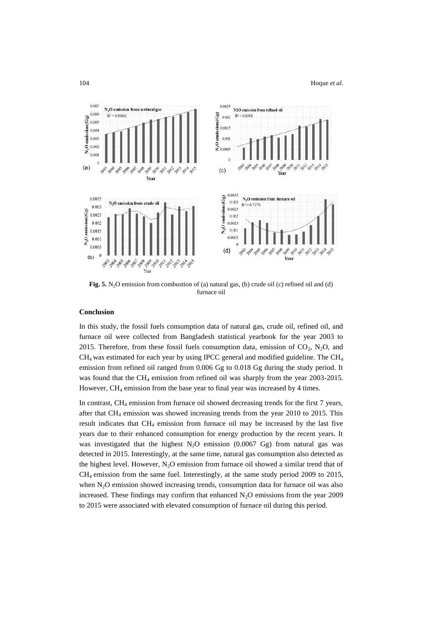

Fig. 5. N<sub>2</sub>O emission from combustion of (a) natural gas, (b) crude oil (c) refined oil and (d) furnace oil

### **Conclusion**

In this study, the fossil fuels consumption data of natural gas, crude oil, refined oil, and furnace oil were collected from Bangladesh statistical yearbook for the year 2003 to 2015. Therefore, from these fossil fuels consumption data, emission of  $CO<sub>2</sub>$ , N<sub>2</sub>O, and  $CH<sub>4</sub>$  was estimated for each year by using IPCC general and modified guideline. The CH<sub>4</sub> emission from refined oil ranged from 0.006 Gg to 0.018 Gg during the study period. It was found that the CH<sub>4</sub> emission from refined oil was sharply from the year 2003-2015. However, CH<sub>4</sub> emission from the base year to final year was increased by 4 times.

In contrast,  $CH_4$  emission from furnace oil showed decreasing trends for the first 7 years, after that CH<sup>4</sup> emission was showed increasing trends from the year 2010 to 2015. This result indicates that  $CH_4$  emission from furnace oil may be increased by the last five years due to their enhanced consumption for energy production by the recent years. It was investigated that the highest  $N_2O$  emission (0.0067 Gg) from natural gas was detected in 2015. Interestingly, at the same time, natural gas consumption also detected as the highest level. However,  $N_2O$  emission from furnace oil showed a similar trend that of CH4 emission from the same fuel. Interestingly, at the same study period 2009 to 2015, when N<sub>2</sub>O emission showed increasing trends, consumption data for furnace oil was also increased. These findings may confirm that enhanced  $N<sub>2</sub>O$  emissions from the year 2009 to 2015 were associated with elevated consumption of furnace oil during this period.